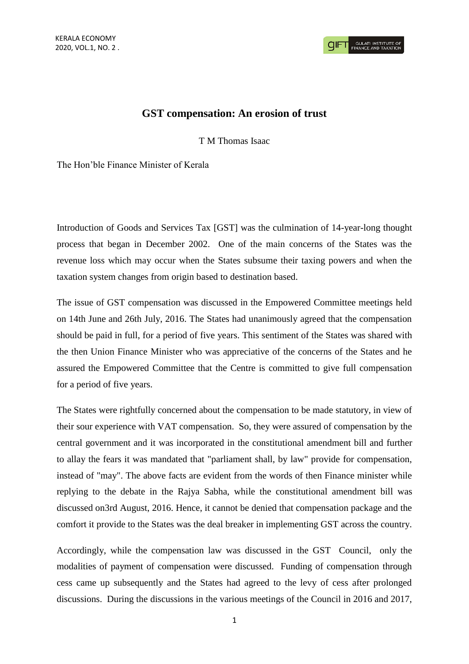## **GST compensation: An erosion of trust**

T M Thomas Isaac

The Hon'ble Finance Minister of Kerala

Introduction of Goods and Services Tax [GST] was the culmination of 14-year-long thought process that began in December 2002. One of the main concerns of the States was the revenue loss which may occur when the States subsume their taxing powers and when the taxation system changes from origin based to destination based.

The issue of GST compensation was discussed in the Empowered Committee meetings held on 14th June and 26th July, 2016. The States had unanimously agreed that the compensation should be paid in full, for a period of five years. This sentiment of the States was shared with the then Union Finance Minister who was appreciative of the concerns of the States and he assured the Empowered Committee that the Centre is committed to give full compensation for a period of five years.

The States were rightfully concerned about the compensation to be made statutory, in view of their sour experience with VAT compensation. So, they were assured of compensation by the central government and it was incorporated in the constitutional amendment bill and further to allay the fears it was mandated that "parliament shall, by law" provide for compensation, instead of "may". The above facts are evident from the words of then Finance minister while replying to the debate in the Rajya Sabha, while the constitutional amendment bill was discussed on3rd August, 2016. Hence, it cannot be denied that compensation package and the comfort it provide to the States was the deal breaker in implementing GST across the country.

Accordingly, while the compensation law was discussed in the GST Council, only the modalities of payment of compensation were discussed. Funding of compensation through cess came up subsequently and the States had agreed to the levy of cess after prolonged discussions. During the discussions in the various meetings of the Council in 2016 and 2017,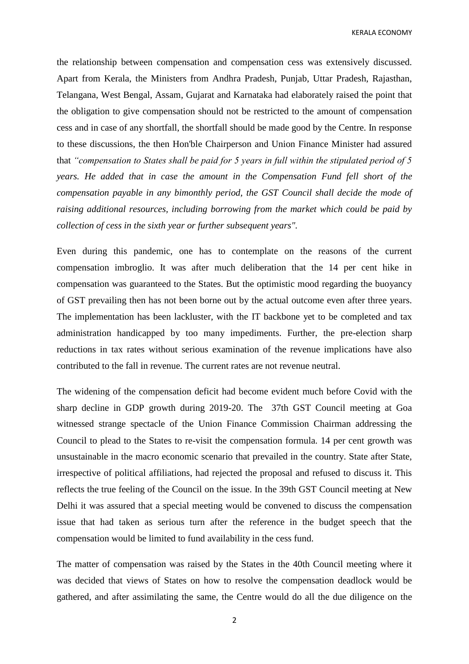KERALA ECONOMY

the relationship between compensation and compensation cess was extensively discussed. Apart from Kerala, the Ministers from Andhra Pradesh, Punjab, Uttar Pradesh, Rajasthan, Telangana, West Bengal, Assam, Gujarat and Karnataka had elaborately raised the point that the obligation to give compensation should not be restricted to the amount of compensation cess and in case of any shortfall, the shortfall should be made good by the Centre. In response to these discussions, the then Hon'ble Chairperson and Union Finance Minister had assured that *"compensation to States shall be paid for 5 years in full within the stipulated period of 5 years. He added that in case the amount in the Compensation Fund fell short of the compensation payable in any bimonthly period, the GST Council shall decide the mode of raising additional resources, including borrowing from the market which could be paid by collection of cess in the sixth year or further subsequent years".* 

Even during this pandemic, one has to contemplate on the reasons of the current compensation imbroglio. It was after much deliberation that the 14 per cent hike in compensation was guaranteed to the States. But the optimistic mood regarding the buoyancy of GST prevailing then has not been borne out by the actual outcome even after three years. The implementation has been lackluster, with the IT backbone yet to be completed and tax administration handicapped by too many impediments. Further, the pre-election sharp reductions in tax rates without serious examination of the revenue implications have also contributed to the fall in revenue. The current rates are not revenue neutral.

The widening of the compensation deficit had become evident much before Covid with the sharp decline in GDP growth during 2019-20. The 37th GST Council meeting at Goa witnessed strange spectacle of the Union Finance Commission Chairman addressing the Council to plead to the States to re-visit the compensation formula. 14 per cent growth was unsustainable in the macro economic scenario that prevailed in the country. State after State, irrespective of political affiliations, had rejected the proposal and refused to discuss it. This reflects the true feeling of the Council on the issue. In the 39th GST Council meeting at New Delhi it was assured that a special meeting would be convened to discuss the compensation issue that had taken as serious turn after the reference in the budget speech that the compensation would be limited to fund availability in the cess fund.

The matter of compensation was raised by the States in the 40th Council meeting where it was decided that views of States on how to resolve the compensation deadlock would be gathered, and after assimilating the same, the Centre would do all the due diligence on the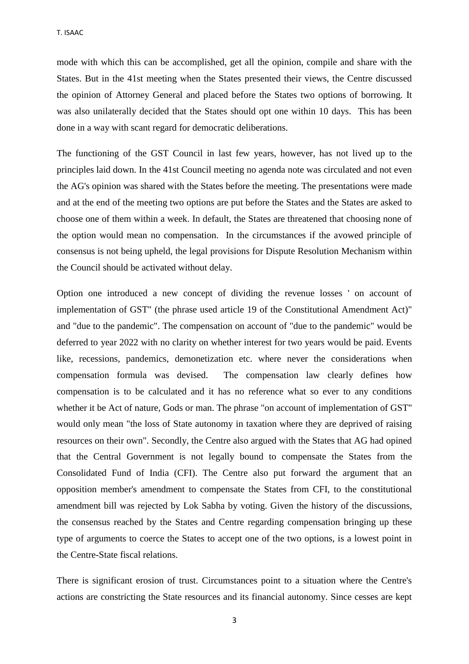mode with which this can be accomplished, get all the opinion, compile and share with the States. But in the 41st meeting when the States presented their views, the Centre discussed the opinion of Attorney General and placed before the States two options of borrowing. It was also unilaterally decided that the States should opt one within 10 days. This has been done in a way with scant regard for democratic deliberations.

The functioning of the GST Council in last few years, however, has not lived up to the principles laid down. In the 41st Council meeting no agenda note was circulated and not even the AG's opinion was shared with the States before the meeting. The presentations were made and at the end of the meeting two options are put before the States and the States are asked to choose one of them within a week. In default, the States are threatened that choosing none of the option would mean no compensation. In the circumstances if the avowed principle of consensus is not being upheld, the legal provisions for Dispute Resolution Mechanism within the Council should be activated without delay.

Option one introduced a new concept of dividing the revenue losses ' on account of implementation of GST" (the phrase used article 19 of the Constitutional Amendment Act)" and "due to the pandemic". The compensation on account of "due to the pandemic" would be deferred to year 2022 with no clarity on whether interest for two years would be paid. Events like, recessions, pandemics, demonetization etc. where never the considerations when compensation formula was devised. The compensation law clearly defines how compensation is to be calculated and it has no reference what so ever to any conditions whether it be Act of nature, Gods or man. The phrase "on account of implementation of GST" would only mean "the loss of State autonomy in taxation where they are deprived of raising resources on their own". Secondly, the Centre also argued with the States that AG had opined that the Central Government is not legally bound to compensate the States from the Consolidated Fund of India (CFI). The Centre also put forward the argument that an opposition member's amendment to compensate the States from CFI, to the constitutional amendment bill was rejected by Lok Sabha by voting. Given the history of the discussions, the consensus reached by the States and Centre regarding compensation bringing up these type of arguments to coerce the States to accept one of the two options, is a lowest point in the Centre-State fiscal relations.

There is significant erosion of trust. Circumstances point to a situation where the Centre's actions are constricting the State resources and its financial autonomy. Since cesses are kept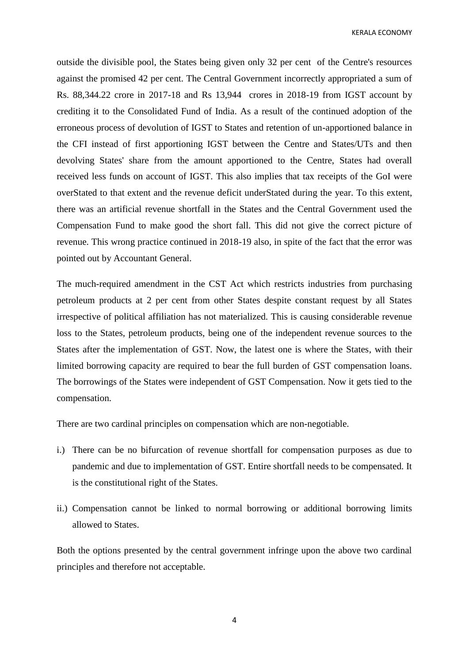KERALA ECONOMY

outside the divisible pool, the States being given only 32 per cent of the Centre's resources against the promised 42 per cent. The Central Government incorrectly appropriated a sum of Rs. 88,344.22 crore in 2017-18 and Rs 13,944 crores in 2018-19 from IGST account by crediting it to the Consolidated Fund of India. As a result of the continued adoption of the erroneous process of devolution of IGST to States and retention of un-apportioned balance in the CFI instead of first apportioning IGST between the Centre and States/UTs and then devolving States' share from the amount apportioned to the Centre, States had overall received less funds on account of IGST. This also implies that tax receipts of the GoI were overStated to that extent and the revenue deficit underStated during the year. To this extent, there was an artificial revenue shortfall in the States and the Central Government used the Compensation Fund to make good the short fall. This did not give the correct picture of revenue. This wrong practice continued in 2018-19 also, in spite of the fact that the error was pointed out by Accountant General.

The much-required amendment in the CST Act which restricts industries from purchasing petroleum products at 2 per cent from other States despite constant request by all States irrespective of political affiliation has not materialized. This is causing considerable revenue loss to the States, petroleum products, being one of the independent revenue sources to the States after the implementation of GST. Now, the latest one is where the States, with their limited borrowing capacity are required to bear the full burden of GST compensation loans. The borrowings of the States were independent of GST Compensation. Now it gets tied to the compensation.

There are two cardinal principles on compensation which are non-negotiable.

- i.) There can be no bifurcation of revenue shortfall for compensation purposes as due to pandemic and due to implementation of GST. Entire shortfall needs to be compensated. It is the constitutional right of the States.
- ii.) Compensation cannot be linked to normal borrowing or additional borrowing limits allowed to States.

Both the options presented by the central government infringe upon the above two cardinal principles and therefore not acceptable.

4